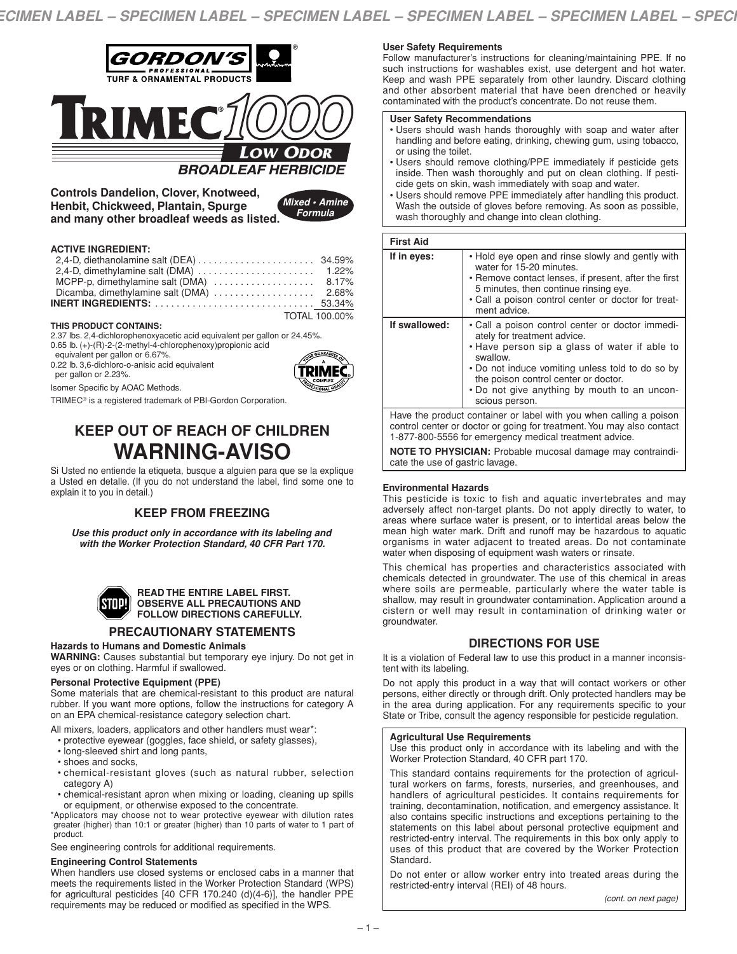

**Controls Dandelion, Clover, Knotweed, Henbit, Chickweed, Plantain, Spurge and many other broadleaf weeds as listed.**

| Mixed · Amine |         |  |
|---------------|---------|--|
|               | Formula |  |

### **ACTIVE INGREDIENT:**

| MCPP-p, dimethylamine salt (DMA)  8.17% |               |
|-----------------------------------------|---------------|
|                                         |               |
|                                         |               |
|                                         | TOTAL 100.00% |

### **THIS PRODUCT CONTAINS:**

2.37 lbs. 2,4-dichlorophenoxyacetic acid equivalent per gallon or 24.45%.

0.65 lb. (+)-(R)-2-(2-methyl-4-chlorophenoxy)propionic acid

equivalent per gallon or 6.67%.

0.22 lb. 3,6-dichloro-o-anisic acid equivalent

per gallon or 2.23%. Isomer Specific by AOAC Methods.



TRIMEC® is a registered trademark of PBI-Gordon Corporation.

# **KEEP OUT OF REACH OF CHILDREN WARNING-AVISO**

Si Usted no entiende la etiqueta, busque a alguien para que se la explique a Usted en detalle. (If you do not understand the label, find some one to explain it to you in detail.)

# **KEEP FROM FREEZING**

*Use this product only in accordance with its labeling and with the Worker Protection Standard, 40 CFR Part 170.*



#### **READ THE ENTIRE LABEL FIRST. OBSERVE ALL PRECAUTIONS AND FOLLOW DIRECTIONS CAREFULLY.**

# **PRECAUTIONARY STATEMENTS**

### **Hazards to Humans and Domestic Animals**

**WARNING:** Causes substantial but temporary eye injury. Do not get in eyes or on clothing. Harmful if swallowed.

### **Personal Protective Equipment (PPE)**

Some materials that are chemical-resistant to this product are natural rubber. If you want more options, follow the instructions for category A on an EPA chemical-resistance category selection chart.

All mixers, loaders, applicators and other handlers must wear\*:

- protective eyewear (goggles, face shield, or safety glasses),
- long-sleeved shirt and long pants,
- shoes and socks,
- chemical-resistant gloves (such as natural rubber, selection category A)
- chemical-resistant apron when mixing or loading, cleaning up spills or equipment, or otherwise exposed to the concentrate.

\*Applicators may choose not to wear protective eyewear with dilution rates greater (higher) than 10:1 or greater (higher) than 10 parts of water to 1 part of product.

See engineering controls for additional requirements.

# **Engineering Control Statements**

When handlers use closed systems or enclosed cabs in a manner that meets the requirements listed in the Worker Protection Standard (WPS) for agricultural pesticides [40 CFR 170.240 (d)(4-6)], the handler PPE requirements may be reduced or modified as specified in the WPS.

### **User Safety Requirements**

Follow manufacturer's instructions for cleaning/maintaining PPE. If no such instructions for washables exist, use detergent and hot water. Keep and wash PPE separately from other laundry. Discard clothing and other absorbent material that have been drenched or heavily contaminated with the product's concentrate. Do not reuse them.

### **User Safety Recommendations**

- Users should wash hands thoroughly with soap and water after handling and before eating, drinking, chewing gum, using tobacco, or using the toilet.
- Users should remove clothing/PPE immediately if pesticide gets inside. Then wash thoroughly and put on clean clothing. If pesticide gets on skin, wash immediately with soap and water.
- Users should remove PPE immediately after handling this product. Wash the outside of gloves before removing. As soon as possible, wash thoroughly and change into clean clothing.

### **First Aid**

| If in eyes:                                                                                                                                                                                           | • Hold eye open and rinse slowly and gently with<br>water for 15-20 minutes.<br>• Remove contact lenses, if present, after the first<br>5 minutes, then continue rinsing eye.<br>. Call a poison control center or doctor for treat-<br>ment advice.                                                       |  |
|-------------------------------------------------------------------------------------------------------------------------------------------------------------------------------------------------------|------------------------------------------------------------------------------------------------------------------------------------------------------------------------------------------------------------------------------------------------------------------------------------------------------------|--|
| If swallowed:                                                                                                                                                                                         | • Call a poison control center or doctor immedi-<br>ately for treatment advice.<br>. Have person sip a glass of water if able to<br>swallow.<br>• Do not induce vomiting unless told to do so by<br>the poison control center or doctor.<br>. Do not give anything by mouth to an uncon-<br>scious person. |  |
| Have the product container or label with you when calling a poison<br>control center or doctor or going for treatment. You may also contact<br>1-877-800-5556 for emergency medical treatment advice. |                                                                                                                                                                                                                                                                                                            |  |

**NOTE TO PHYSICIAN:** Probable mucosal damage may contraindicate the use of gastric lavage.

### **Environmental Hazards**

This pesticide is toxic to fish and aquatic invertebrates and may adversely affect non-target plants. Do not apply directly to water, to areas where surface water is present, or to intertidal areas below the mean high water mark. Drift and runoff may be hazardous to aquatic organisms in water adjacent to treated areas. Do not contaminate water when disposing of equipment wash waters or rinsate.

This chemical has properties and characteristics associated with chemicals detected in groundwater. The use of this chemical in areas where soils are permeable, particularly where the water table is shallow, may result in groundwater contamination. Application around a cistern or well may result in contamination of drinking water or groundwater.

# **DIRECTIONS FOR USE**

It is a violation of Federal law to use this product in a manner inconsistent with its labeling.

Do not apply this product in a way that will contact workers or other persons, either directly or through drift. Only protected handlers may be in the area during application. For any requirements specific to your State or Tribe, consult the agency responsible for pesticide regulation.

### **Agricultural Use Requirements**

Use this product only in accordance with its labeling and with the Worker Protection Standard, 40 CFR part 170.

This standard contains requirements for the protection of agricultural workers on farms, forests, nurseries, and greenhouses, and handlers of agricultural pesticides. It contains requirements for training, decontamination, notification, and emergency assistance. It also contains specific instructions and exceptions pertaining to the statements on this label about personal protective equipment and restricted-entry interval. The requirements in this box only apply to uses of this product that are covered by the Worker Protection Standard.

Do not enter or allow worker entry into treated areas during the restricted-entry interval (REI) of 48 hours.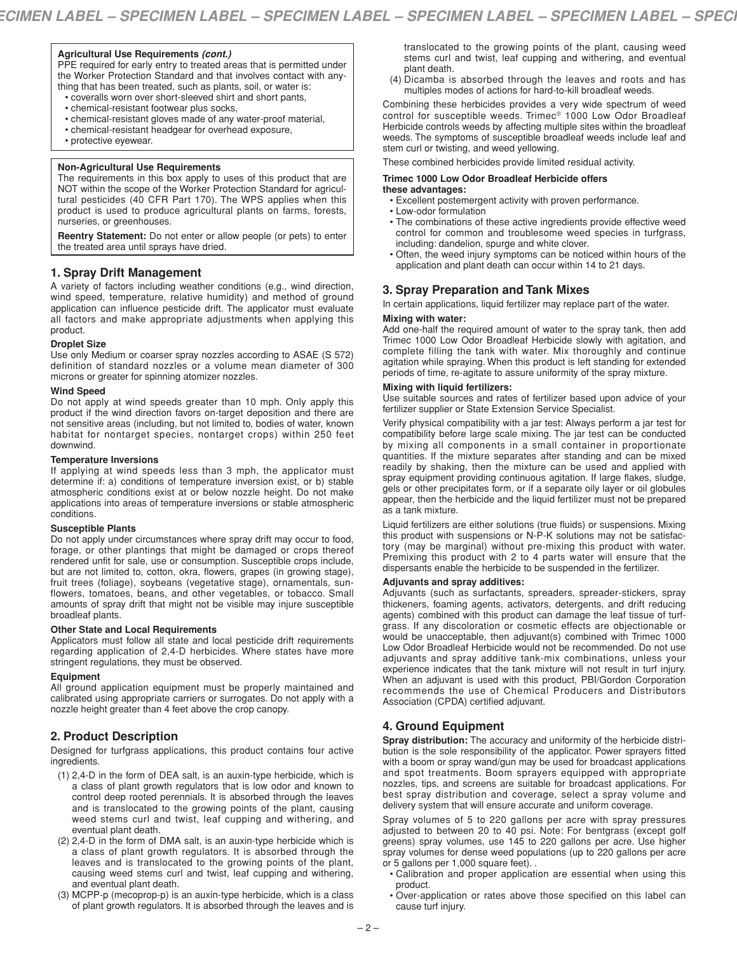### **Agricultural Use Requirements** *(cont.)*

PPE required for early entry to treated areas that is permitted under the Worker Protection Standard and that involves contact with anything that has been treated, such as plants, soil, or water is:

- coveralls worn over short-sleeved shirt and short pants,
- chemical-resistant footwear plus socks,
- chemical-resistant gloves made of any water-proof material,
- chemical-resistant headgear for overhead exposure,
- protective eyewear.

### **Non-Agricultural Use Requirements**

The requirements in this box apply to uses of this product that are NOT within the scope of the Worker Protection Standard for agricultural pesticides (40 CFR Part 170). The WPS applies when this product is used to produce agricultural plants on farms, forests, nurseries, or greenhouses.

**Reentry Statement:** Do not enter or allow people (or pets) to enter the treated area until sprays have dried.

# **1. Spray Drift Management**

A variety of factors including weather conditions (e.g., wind direction, wind speed, temperature, relative humidity) and method of ground application can influence pesticide drift. The applicator must evaluate all factors and make appropriate adjustments when applying this product.

# **Droplet Size**

Use only Medium or coarser spray nozzles according to ASAE (S 572) definition of standard nozzles or a volume mean diameter of 300 microns or greater for spinning atomizer nozzles.

### **Wind Speed**

Do not apply at wind speeds greater than 10 mph. Only apply this product if the wind direction favors on-target deposition and there are not sensitive areas (including, but not limited to, bodies of water, known habitat for nontarget species, nontarget crops) within 250 feet downwind.

### **Temperature Inversions**

If applying at wind speeds less than 3 mph, the applicator must determine if: a) conditions of temperature inversion exist, or b) stable atmospheric conditions exist at or below nozzle height. Do not make applications into areas of temperature inversions or stable atmospheric conditions.

### **Susceptible Plants**

Do not apply under circumstances where spray drift may occur to food, forage, or other plantings that might be damaged or crops thereof rendered unfit for sale, use or consumption. Susceptible crops include, but are not limited to, cotton, okra, flowers, grapes (in growing stage), fruit trees (foliage), soybeans (vegetative stage), ornamentals, sunflowers, tomatoes, beans, and other vegetables, or tobacco. Small amounts of spray drift that might not be visible may injure susceptible broadleaf plants.

### **Other State and Local Requirements**

Applicators must follow all state and local pesticide drift requirements regarding application of 2,4-D herbicides. Where states have more stringent regulations, they must be observed.

### **Equipment**

All ground application equipment must be properly maintained and calibrated using appropriate carriers or surrogates. Do not apply with a nozzle height greater than 4 feet above the crop canopy.

# **2. Product Description**

Designed for turfgrass applications, this product contains four active ingredients.

- (1) 2,4-D in the form of DEA salt, is an auxin-type herbicide, which is a class of plant growth regulators that is low odor and known to control deep rooted perennials. It is absorbed through the leaves and is translocated to the growing points of the plant, causing weed stems curl and twist, leaf cupping and withering, and eventual plant death.
- (2) 2,4-D in the form of DMA salt, is an auxin-type herbicide which is a class of plant growth regulators. It is absorbed through the leaves and is translocated to the growing points of the plant, causing weed stems curl and twist, leaf cupping and withering, and eventual plant death.
- (3) MCPP-p (mecoprop-p) is an auxin-type herbicide, which is a class of plant growth regulators. It is absorbed through the leaves and is

translocated to the growing points of the plant, causing weed stems curl and twist, leaf cupping and withering, and eventual plant death.

(4) Dicamba is absorbed through the leaves and roots and has multiples modes of actions for hard-to-kill broadleaf weeds.

Combining these herbicides provides a very wide spectrum of weed control for susceptible weeds. Trimec® 1000 Low Odor Broadleaf Herbicide controls weeds by affecting multiple sites within the broadleaf weeds. The symptoms of susceptible broadleaf weeds include leaf and stem curl or twisting, and weed yellowing.

These combined herbicides provide limited residual activity.

#### **Trimec 1000 Low Odor Broadleaf Herbicide offers these advantages:**

- Excellent postemergent activity with proven performance.
- Low-odor formulation
- The combinations of these active ingredients provide effective weed control for common and troublesome weed species in turfgrass, including: dandelion, spurge and white clover.
- Often, the weed injury symptoms can be noticed within hours of the application and plant death can occur within 14 to 21 days.

# **3. Spray Preparation and Tank Mixes**

In certain applications, liquid fertilizer may replace part of the water.

### **Mixing with water:**

Add one-half the required amount of water to the spray tank, then add Trimec 1000 Low Odor Broadleaf Herbicide slowly with agitation, and complete filling the tank with water. Mix thoroughly and continue agitation while spraying. When this product is left standing for extended periods of time, re-agitate to assure uniformity of the spray mixture.

### **Mixing with liquid fertilizers:**

Use suitable sources and rates of fertilizer based upon advice of your fertilizer supplier or State Extension Service Specialist.

Verify physical compatibility with a jar test: Always perform a jar test for compatibility before large scale mixing. The jar test can be conducted by mixing all components in a small container in proportionate quantities. If the mixture separates after standing and can be mixed readily by shaking, then the mixture can be used and applied with spray equipment providing continuous agitation. If large flakes, sludge, gels or other precipitates form, or if a separate oily layer or oil globules appear, then the herbicide and the liquid fertilizer must not be prepared as a tank mixture.

Liquid fertilizers are either solutions (true fluids) or suspensions. Mixing this product with suspensions or N-P-K solutions may not be satisfactory (may be marginal) without pre-mixing this product with water. Premixing this product with 2 to 4 parts water will ensure that the dispersants enable the herbicide to be suspended in the fertilizer.

### **Adjuvants and spray additives:**

Adjuvants (such as surfactants, spreaders, spreader-stickers, spray thickeners, foaming agents, activators, detergents, and drift reducing agents) combined with this product can damage the leaf tissue of turfgrass. If any discoloration or cosmetic effects are objectionable or would be unacceptable, then adjuvant(s) combined with Trimec 1000 Low Odor Broadleaf Herbicide would not be recommended. Do not use adjuvants and spray additive tank-mix combinations, unless your experience indicates that the tank mixture will not result in turf injury. When an adjuvant is used with this product, PBI/Gordon Corporation recommends the use of Chemical Producers and Distributors Association (CPDA) certified adjuvant.

# **4. Ground Equipment**

**Spray distribution:** The accuracy and uniformity of the herbicide distribution is the sole responsibility of the applicator. Power sprayers fitted with a boom or spray wand/gun may be used for broadcast applications and spot treatments. Boom sprayers equipped with appropriate nozzles, tips, and screens are suitable for broadcast applications. For best spray distribution and coverage, select a spray volume and delivery system that will ensure accurate and uniform coverage.

Spray volumes of 5 to 220 gallons per acre with spray pressures adjusted to between 20 to 40 psi. Note: For bentgrass (except golf greens) spray volumes, use 145 to 220 gallons per acre. Use higher spray volumes for dense weed populations (up to 220 gallons per acre or 5 gallons per 1,000 square feet). .

- Calibration and proper application are essential when using this product.
- Over-application or rates above those specified on this label can cause turf injury.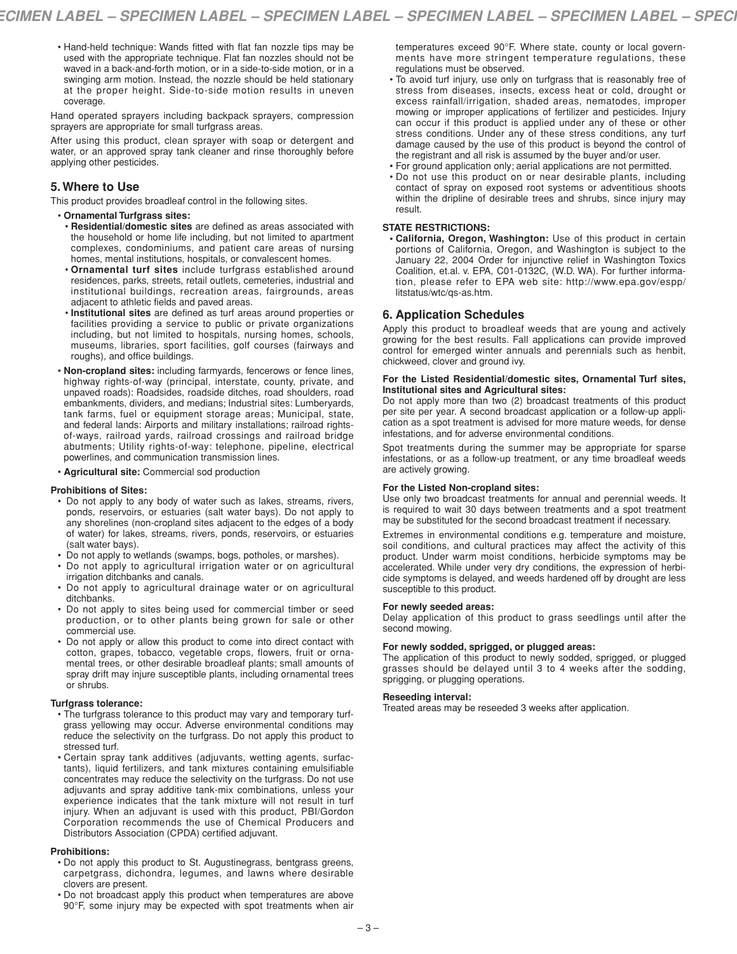• Hand-held technique: Wands fitted with flat fan nozzle tips may be used with the appropriate technique. Flat fan nozzles should not be waved in a back-and-forth motion, or in a side-to-side motion, or in a swinging arm motion. Instead, the nozzle should be held stationary at the proper height. Side-to-side motion results in uneven coverage.

Hand operated sprayers including backpack sprayers, compression sprayers are appropriate for small turfgrass areas.

After using this product, clean sprayer with soap or detergent and water, or an approved spray tank cleaner and rinse thoroughly before applying other pesticides.

# **5. Where to Use**

This product provides broadleaf control in the following sites.

- **Ornamental Turfgrass sites:**
- **Residential/domestic sites** are defined as areas associated with the household or home life including, but not limited to apartment complexes, condominiums, and patient care areas of nursing homes, mental institutions, hospitals, or convalescent homes.
- **Ornamental turf sites** include turfgrass established around residences, parks, streets, retail outlets, cemeteries, industrial and institutional buildings, recreation areas, fairgrounds, areas adjacent to athletic fields and paved areas.
- **Institutional sites** are defined as turf areas around properties or facilities providing a service to public or private organizations including, but not limited to hospitals, nursing homes, schools, museums, libraries, sport facilities, golf courses (fairways and roughs), and office buildings.
- **Non-cropland sites:** including farmyards, fencerows or fence lines, highway rights-of-way (principal, interstate, county, private, and unpaved roads): Roadsides, roadside ditches, road shoulders, road embankments, dividers, and medians; Industrial sites: Lumberyards, tank farms, fuel or equipment storage areas; Municipal, state, and federal lands: Airports and military installations; railroad rightsof-ways, railroad yards, railroad crossings and railroad bridge abutments; Utility rights-of-way: telephone, pipeline, electrical powerlines, and communication transmission lines.
- **Agricultural site:** Commercial sod production

### **Prohibitions of Sites:**

- Do not apply to any body of water such as lakes, streams, rivers, ponds, reservoirs, or estuaries (salt water bays). Do not apply to any shorelines (non-cropland sites adjacent to the edges of a body of water) for lakes, streams, rivers, ponds, reservoirs, or estuaries (salt water bays).
- Do not apply to wetlands (swamps, bogs, potholes, or marshes).
- Do not apply to agricultural irrigation water or on agricultural irrigation ditchbanks and canals.
- Do not apply to agricultural drainage water or on agricultural ditchbanks.
- Do not apply to sites being used for commercial timber or seed production, or to other plants being grown for sale or other commercial use.
- Do not apply or allow this product to come into direct contact with cotton, grapes, tobacco, vegetable crops, flowers, fruit or ornamental trees, or other desirable broadleaf plants; small amounts of spray drift may injure susceptible plants, including ornamental trees or shrubs.

### **Turfgrass tolerance:**

• The turfgrass tolerance to this product may vary and temporary turfgrass yellowing may occur. Adverse environmental conditions may reduce the selectivity on the turfgrass. Do not apply this product to stressed turf.

• Certain spray tank additives (adjuvants, wetting agents, surfactants), liquid fertilizers, and tank mixtures containing emulsifiable concentrates may reduce the selectivity on the turfgrass. Do not use adjuvants and spray additive tank-mix combinations, unless your experience indicates that the tank mixture will not result in turf injury. When an adjuvant is used with this product, PBI/Gordon Corporation recommends the use of Chemical Producers and Distributors Association (CPDA) certified adjuvant.

### **Prohibitions:**

- Do not apply this product to St. Augustinegrass, bentgrass greens, carpetgrass, dichondra, legumes, and lawns where desirable clovers are present.
- Do not broadcast apply this product when temperatures are above 90°F, some injury may be expected with spot treatments when air

temperatures exceed 90°F. Where state, county or local governments have more stringent temperature regulations, these regulations must be observed.

- To avoid turf injury, use only on turfgrass that is reasonably free of stress from diseases, insects, excess heat or cold, drought or excess rainfall/irrigation, shaded areas, nematodes, improper mowing or improper applications of fertilizer and pesticides. Injury can occur if this product is applied under any of these or other stress conditions. Under any of these stress conditions, any turf damage caused by the use of this product is beyond the control of the registrant and all risk is assumed by the buyer and/or user.
- For ground application only; aerial applications are not permitted.
- Do not use this product on or near desirable plants, including contact of spray on exposed root systems or adventitious shoots within the dripline of desirable trees and shrubs, since injury may result.

### **STATE RESTRICTIONS:**

**• California, Oregon, Washington:** Use of this product in certain portions of California, Oregon, and Washington is subject to the January 22, 2004 Order for injunctive relief in Washington Toxics Coalition, et.al. v. EPA, C01-0132C, (W.D. WA). For further information, please refer to EPA web site: http://www.epa.gov/espp/ litstatus/wtc/qs-as.htm.

# **6. Application Schedules**

Apply this product to broadleaf weeds that are young and actively growing for the best results. Fall applications can provide improved control for emerged winter annuals and perennials such as henbit, chickweed, clover and ground ivy.

### **For the Listed Residential/domestic sites, Ornamental Turf sites, Institutional sites and Agricultural sites:**

Do not apply more than two (2) broadcast treatments of this product per site per year. A second broadcast application or a follow-up application as a spot treatment is advised for more mature weeds, for dense infestations, and for adverse environmental conditions.

Spot treatments during the summer may be appropriate for sparse infestations, or as a follow-up treatment, or any time broadleaf weeds are actively growing.

## **For the Listed Non-cropland sites:**

Use only two broadcast treatments for annual and perennial weeds. It is required to wait 30 days between treatments and a spot treatment may be substituted for the second broadcast treatment if necessary.

Extremes in environmental conditions e.g. temperature and moisture, soil conditions, and cultural practices may affect the activity of this product. Under warm moist conditions, herbicide symptoms may be accelerated. While under very dry conditions, the expression of herbicide symptoms is delayed, and weeds hardened off by drought are less susceptible to this product.

### **For newly seeded areas:**

Delay application of this product to grass seedlings until after the second mowing.

### **For newly sodded, sprigged, or plugged areas:**

The application of this product to newly sodded, sprigged, or plugged grasses should be delayed until 3 to 4 weeks after the sodding, sprigging, or plugging operations.

### **Reseeding interval:**

Treated areas may be reseeded 3 weeks after application.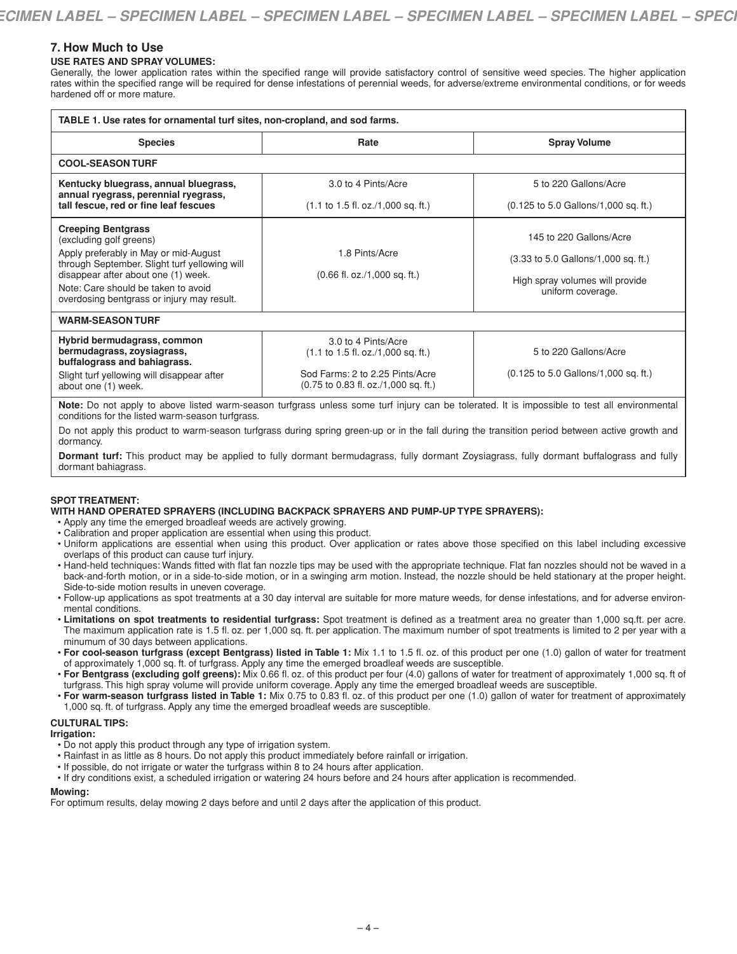# **7. How Much to Use**

## **USE RATES AND SPRAY VOLUMES:**

Generally, the lower application rates within the specified range will provide satisfactory control of sensitive weed species. The higher application rates within the specified range will be required for dense infestations of perennial weeds, for adverse/extreme environmental conditions, or for weeds hardened off or more mature.

| TABLE 1. Use rates for ornamental turf sites, non-cropland, and sod farms.                                                                                                                                                                                                 |                                                                                                                                                                 |                                                                                                                                                   |  |  |  |  |
|----------------------------------------------------------------------------------------------------------------------------------------------------------------------------------------------------------------------------------------------------------------------------|-----------------------------------------------------------------------------------------------------------------------------------------------------------------|---------------------------------------------------------------------------------------------------------------------------------------------------|--|--|--|--|
| <b>Species</b>                                                                                                                                                                                                                                                             | Rate                                                                                                                                                            | <b>Spray Volume</b>                                                                                                                               |  |  |  |  |
| <b>COOL-SEASON TURF</b>                                                                                                                                                                                                                                                    |                                                                                                                                                                 |                                                                                                                                                   |  |  |  |  |
| Kentucky bluegrass, annual bluegrass,<br>annual ryegrass, perennial ryegrass,<br>tall fescue, red or fine leaf fescues                                                                                                                                                     | 3.0 to 4 Pints/Acre<br>$(1.1 \text{ to } 1.5 \text{ fl. oz.}/1,000 \text{ sq. ft.})$                                                                            | 5 to 220 Gallons/Acre<br>$(0.125 \text{ to } 5.0 \text{ Gallons}/1,000 \text{ sq. ft.})$                                                          |  |  |  |  |
| <b>Creeping Bentgrass</b><br>(excluding golf greens)<br>Apply preferably in May or mid-August<br>through September. Slight turf yellowing will<br>disappear after about one (1) week.<br>Note: Care should be taken to avoid<br>overdosing bentgrass or injury may result. | 1.8 Pints/Acre<br>$(0.66 \text{ fl. oz.}/1,000 \text{ sq. ft.})$                                                                                                | 145 to 220 Gallons/Acre<br>$(3.33 \text{ to } 5.0 \text{ Gallons}/1,000 \text{ sq. ft.})$<br>High spray volumes will provide<br>uniform coverage. |  |  |  |  |
| <b>WARM-SEASON TURF</b>                                                                                                                                                                                                                                                    |                                                                                                                                                                 |                                                                                                                                                   |  |  |  |  |
| Hybrid bermudagrass, common<br>bermudagrass, zoysiagrass,<br>buffalograss and bahiagrass.<br>Slight turf yellowing will disappear after<br>about one (1) week.                                                                                                             | 3.0 to 4 Pints/Acre<br>$(1.1 \text{ to } 1.5 \text{ fl. oz.}/1,000 \text{ sq. ft.})$<br>Sod Farms: 2 to 2.25 Pints/Acre<br>(0.75 to 0.83 fl. oz./1,000 sq. ft.) | 5 to 220 Gallons/Acre<br>(0.125 to 5.0 Gallons/1,000 sq. ft.)                                                                                     |  |  |  |  |

**Note:** Do not apply to above listed warm-season turfgrass unless some turf injury can be tolerated. It is impossible to test all environmental conditions for the listed warm-season turfgrass.

Do not apply this product to warm-season turfgrass during spring green-up or in the fall during the transition period between active growth and dormancy.

**Dormant turf:** This product may be applied to fully dormant bermudagrass, fully dormant Zoysiagrass, fully dormant buffalograss and fully dormant bahiagrass.

# **SPOT TREATMENT:**

### **WITH HAND OPERATED SPRAYERS (INCLUDING BACKPACK SPRAYERS AND PUMP-UP TYPE SPRAYERS):**

• Apply any time the emerged broadleaf weeds are actively growing.

- Calibration and proper application are essential when using this product.
- Uniform applications are essential when using this product. Over application or rates above those specified on this label including excessive overlaps of this product can cause turf injury.
- Hand-held techniques: Wands fitted with flat fan nozzle tips may be used with the appropriate technique. Flat fan nozzles should not be waved in a back-and-forth motion, or in a side-to-side motion, or in a swinging arm motion. Instead, the nozzle should be held stationary at the proper height. Side-to-side motion results in uneven coverage.
- Follow-up applications as spot treatments at a 30 day interval are suitable for more mature weeds, for dense infestations, and for adverse environmental conditions.
- **Limitations on spot treatments to residential turfgrass:** Spot treatment is defined as a treatment area no greater than 1,000 sq.ft. per acre. The maximum application rate is 1.5 fl. oz. per 1,000 sq. ft. per application. The maximum number of spot treatments is limited to 2 per year with a minumum of 30 days between applications.
- **For cool-season turfgrass (except Bentgrass) listed in Table 1:** Mix 1.1 to 1.5 fl. oz. of this product per one (1.0) gallon of water for treatment of approximately 1,000 sq. ft. of turfgrass. Apply any time the emerged broadleaf weeds are susceptible.
- **For Bentgrass (excluding golf greens):** Mix 0.66 fl. oz. of this product per four (4.0) gallons of water for treatment of approximately 1,000 sq. ft of turfgrass. This high spray volume will provide uniform coverage. Apply any time the emerged broadleaf weeds are susceptible.
- **For warm-season turfgrass listed in Table 1:** Mix 0.75 to 0.83 fl. oz. of this product per one (1.0) gallon of water for treatment of approximately 1,000 sq. ft. of turfgrass. Apply any time the emerged broadleaf weeds are susceptible.

### **CULTURAL TIPS:**

### **Irrigation:**

- Do not apply this product through any type of irrigation system.
- Rainfast in as little as 8 hours. Do not apply this product immediately before rainfall or irrigation.
- If possible, do not irrigate or water the turfgrass within 8 to 24 hours after application.
- If dry conditions exist, a scheduled irrigation or watering 24 hours before and 24 hours after application is recommended.

### **Mowing:**

For optimum results, delay mowing 2 days before and until 2 days after the application of this product.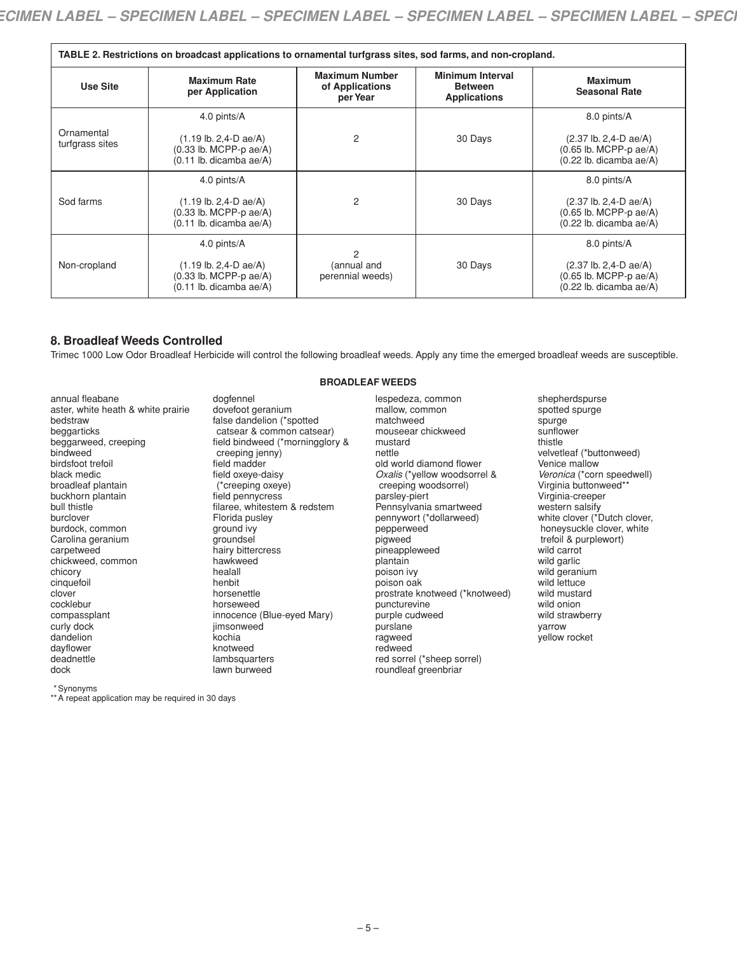| TABLE 2. Restrictions on broadcast applications to ornamental turfgrass sites, sod farms, and non-cropland. |                                                                                                                   |                                                      |                                                                  |                                                                                                              |  |  |
|-------------------------------------------------------------------------------------------------------------|-------------------------------------------------------------------------------------------------------------------|------------------------------------------------------|------------------------------------------------------------------|--------------------------------------------------------------------------------------------------------------|--|--|
| Use Site                                                                                                    | <b>Maximum Rate</b><br>per Application                                                                            | <b>Maximum Number</b><br>of Applications<br>per Year | <b>Minimum Interval</b><br><b>Between</b><br><b>Applications</b> | <b>Maximum</b><br><b>Seasonal Rate</b>                                                                       |  |  |
|                                                                                                             | 4.0 pints/A                                                                                                       |                                                      |                                                                  | 8.0 pints/A                                                                                                  |  |  |
| Ornamental<br>turfgrass sites                                                                               | $(1.19 \text{ lb. } 2.4 \text{ - } D \text{ ae}/A)$<br>2<br>$(0.33$ lb. MCPP-p ae/A)<br>$(0.11$ lb. dicamba ae/A) |                                                      | 30 Days                                                          | $(2.37 \text{ lb. } 2.4 \text{ - } D \text{ ae}/A)$<br>$(0.65$ lb. MCPP-p ae/A)<br>$(0.22$ lb. dicamba ae/A) |  |  |
| Sod farms                                                                                                   | 4.0 pints/A                                                                                                       |                                                      |                                                                  | 8.0 pints/A                                                                                                  |  |  |
|                                                                                                             | $(1.19 \text{ lb. } 2.4 \text{ - } D \text{ ae}/A)$<br>$(0.33$ lb. MCPP-p ae/A)<br>$(0.11$ lb. dicamba ae/A)      | 2                                                    | 30 Days                                                          | $(2.37 \text{ lb. } 2,4 \text{ - } D \text{ ae}/A)$<br>$(0.65$ lb. MCPP-p ae/A)<br>$(0.22$ lb. dicamba ae/A) |  |  |
| Non-cropland                                                                                                | 4.0 pints/A                                                                                                       |                                                      |                                                                  | 8.0 pints/A                                                                                                  |  |  |
|                                                                                                             | $(1.19 \text{ lb. } 2.4 \text{ - } D \text{ ae}/A)$<br>$(0.33$ lb. MCPP-p ae/A)<br>$(0.11$ lb. dicamba ae/A)      | 2<br>(annual and<br>perennial weeds)                 | 30 Days                                                          | $(2.37 \text{ lb. } 2.4 \text{ - } D \text{ ae}/A)$<br>$(0.65$ lb. MCPP-p ae/A)<br>(0.22 lb. dicamba ae/A)   |  |  |

# **8. Broadleaf Weeds Controlled**

Trimec 1000 Low Odor Broadleaf Herbicide will control the following broadleaf weeds. Apply any time the emerged broadleaf weeds are susceptible.

**BROADLEAF WEEDS**

annual fleabane aster, white heath & white prairie bedstraw beggarticks beggarweed, creeping bindweed birdsfoot trefoil black medic broadleaf plantain buckhorn plantain bull thistle burclover burdock, common Carolina geranium carpetweed chickweed, common chicory cinquefoil clover cocklebur compassplant curly dock dandelion dayflower deadnettle dock

dogfennel dovefoot geranium false dandelion (\*spotted catsear & common catsear) field bindweed (\*morningglory & creeping jenny) field madder field oxeye-daisy (\*creeping oxeye) field pennycress filaree, whitestem & redstem Florida pusley ground ivy groundsel hairy bittercress hawkweed healall henbit horsenettle horseweed innocence (Blue-eyed Mary) jimsonweed kochia knotweed lambsquarters lawn burweed

#### lespedeza, common mallow, common matchweed mouseear chickweed mustard nettle old world diamond flower *Oxalis* (\*yellow woodsorrel & creeping woodsorrel) parsley-piert Pennsylvania smartweed pennywort (\*dollarweed) pepperweed pigweed pineappleweed plantain poison ivy poison oak prostrate knotweed (\*knotweed) puncturevine purple cudweed purslane ragweed redweed red sorrel (\*sheep sorrel) roundleaf greenbriar

shepherdspurse spotted spurge spurge sunflower thistle velvetleaf (\*buttonweed) Venice mallow *Veronica* (\*corn speedwell) Virginia buttonweed\*\* Virginia-creeper western salsify white clover (\*Dutch clover, honeysuckle clover, white trefoil & purplewort) wild carrot wild garlic wild geranium wild lettuce wild mustard wild onion wild strawberry yarrow yellow rocket

\*Synonyms

\*\*A repeat application may be required in 30 days